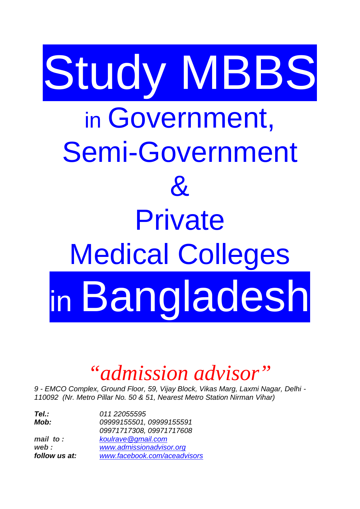# Study MBBS in Government, Semi-Government & Private Medical Colleges in Bangladesh

## *"admission advisor"*

*9 - EMCO Complex, Ground Floor, 59, Vijay Block, Vikas Marg, Laxmi Nagar, Delhi - 110092 (Nr. Metro Pillar No. 50 & 51, Nearest Metro Station Nirman Vihar)*

| 011 22055595                 |
|------------------------------|
| 09999155501, 09999155591     |
| 09971717308, 09971717608     |
| koulrave@gmail.com           |
| www.admissionadvisor.org     |
| www.facebook.com/aceadvisors |
|                              |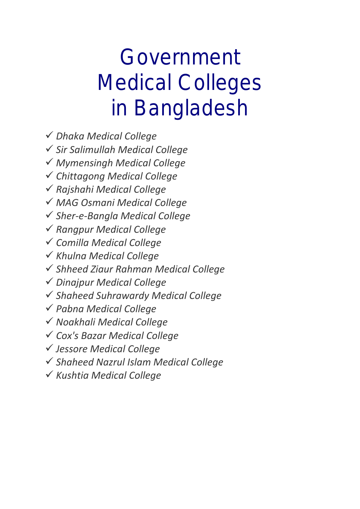# *Government Medical Colleges in Bangladesh*

- *Dhaka Medical College*
- *Sir Salimullah Medical College*
- *Mymensingh Medical College*
- *Chittagong Medical College*
- *Rajshahi Medical College*
- *MAG Osmani Medical College*
- *Sher-e-Bangla Medical College*
- *Rangpur Medical College*
- *Comilla Medical College*
- *Khulna Medical College*
- *Shheed Ziaur Rahman Medical College*
- *Dinajpur Medical College*
- *Shaheed Suhrawardy Medical College*
- *Pabna Medical College*
- *Noakhali Medical College*
- *Cox's Bazar Medical College*
- *Jessore Medical College*
- *Shaheed Nazrul Islam Medical College*
- *Kushtia Medical College*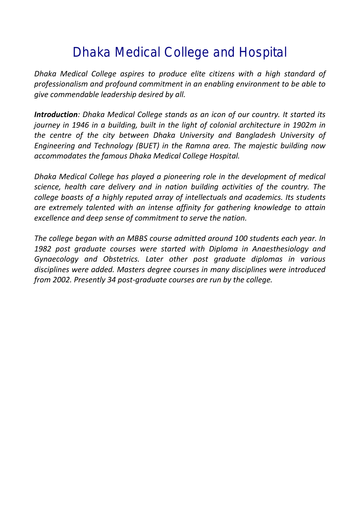### *Dhaka Medical College and Hospital*

*Dhaka Medical College aspires to produce elite citizens with a high standard of professionalism and profound commitment in an enabling environment to be able to give commendable leadership desired by all.*

*Introduction: Dhaka Medical College stands as an icon of our country. It started its journey in 1946 in a building, built in the light of colonial architecture in 1902m in the centre of the city between Dhaka University and Bangladesh University of Engineering and Technology (BUET) in the Ramna area. The majestic building now accommodates the famous Dhaka Medical College Hospital.*

*Dhaka Medical College has played a pioneering role in the development of medical science, health care delivery and in nation building activities of the country. The college boasts of a highly reputed array of intellectuals and academics. Its students are extremely talented with an intense affinity for gathering knowledge to attain excellence and deep sense of commitment to serve the nation.*

*The college began with an MBBS course admitted around 100 students each year. In 1982 post graduate courses were started with Diploma in Anaesthesiology and Gynaecology and Obstetrics. Later other post graduate diplomas in various disciplines were added. Masters degree courses in many disciplines were introduced from 2002. Presently 34 post-graduate courses are run by the college.*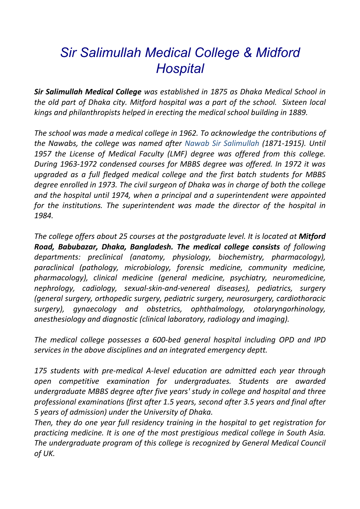### Sir Salimullah Medical College & Midford **Hospital**

*Sir Salimullah Medical College was established in 1875 as Dhaka Medical School in the old part of Dhaka city. Mitford hospital was a part of the school. Sixteen local kings and philanthropists helped in erecting the medical school building in 1889.*

*The school was made a medical college in 1962. To acknowledge the contributions of the Nawabs, the college was named after Nawab Sir Salimullah (1871-1915). Until 1957 the License of Medical Faculty (LMF) degree was offered from this college. During 1963-1972 condensed courses for MBBS degree was offered. In 1972 it was upgraded as a full fledged medical college and the first batch students for MBBS degree enrolled in 1973. The civil surgeon of Dhaka was in charge of both the college and the hospital until 1974, when a principal and a superintendent were appointed for the institutions. The superintendent was made the director of the hospital in 1984.*

*The college offers about 25 courses at the postgraduate level. It is located at Mitford Road, Babubazar, Dhaka, Bangladesh. The medical college consists of following departments: preclinical (anatomy, physiology, biochemistry, pharmacology), paraclinical (pathology, microbiology, forensic medicine, community medicine, pharmacology), clinical medicine (general medicine, psychiatry, neuromedicine, nephrology, cadiology, sexual-skin-and-venereal diseases), pediatrics, surgery (general surgery, orthopedic surgery, pediatric surgery, neurosurgery, cardiothoracic surgery), gynaecology and obstetrics, ophthalmology, otolaryngorhinology, anesthesiology and diagnostic (clinical laboratory, radiology and imaging).*

*The medical college possesses a 600-bed general hospital including OPD and IPD services in the above disciplines and an integrated emergency deptt.*

*175 students with pre-medical A-level education are admitted each year through open competitive examination for undergraduates. Students are awarded undergraduate MBBS degree after five years' study in college and hospital and three professional examinations (first after 1.5 years, second after 3.5 years and final after 5 years of admission) under the University of Dhaka.*

*Then, they do one year full residency training in the hospital to get registration for practicing medicine. It is one of the most prestigious medical college in South Asia. The undergraduate program of this college is recognized by General Medical Council of UK.*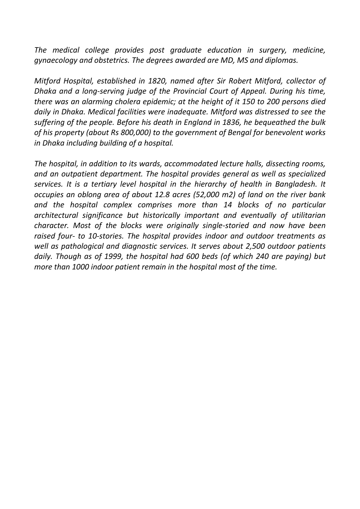*The medical college provides post graduate education in surgery, medicine, gynaecology and obstetrics. The degrees awarded are MD, MS and diplomas.*

*Mitford Hospital, established in 1820, named after Sir Robert Mitford, collector of Dhaka and a long-serving judge of the Provincial Court of Appeal. During his time, there was an alarming cholera epidemic; at the height of it 150 to 200 persons died daily in Dhaka. Medical facilities were inadequate. Mitford was distressed to see the suffering of the people. Before his death in England in 1836, he bequeathed the bulk of his property (about Rs 800,000) to the government of Bengal for benevolent works in Dhaka including building of a hospital.*

*The hospital, in addition to its wards, accommodated lecture halls, dissecting rooms, and an outpatient department. The hospital provides general as well as specialized services. It is a tertiary level hospital in the hierarchy of health in Bangladesh. It occupies an oblong area of about 12.8 acres (52,000 m2) of land on the river bank and the hospital complex comprises more than 14 blocks of no particular architectural significance but historically important and eventually of utilitarian character. Most of the blocks were originally single-storied and now have been raised four- to 10-stories. The hospital provides indoor and outdoor treatments as well as pathological and diagnostic services. It serves about 2,500 outdoor patients daily. Though as of 1999, the hospital had 600 beds (of which 240 are paying) but more than 1000 indoor patient remain in the hospital most of the time.*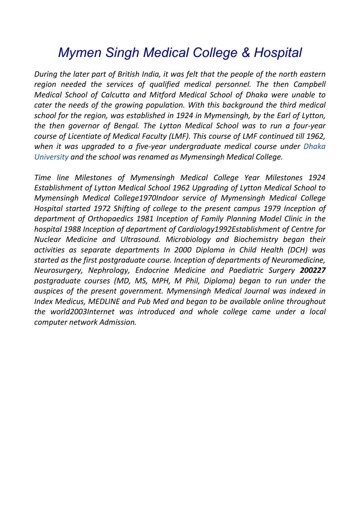### Mymen Singh Medical College & Hospital

*During the later part of British India, it was felt that the people of the north eastern region needed the services of qualified medical personnel. The then Campbell Medical School of Calcutta and Mitford Medical School of Dhaka were unable to cater the needs of the growing population. With this background the third medical school for the region, was established in 1924 in Mymensingh, by the Earl of Lytton, the then governor of Bengal. The Lytton Medical School was to run a four-year course of Licentiate of Medical Faculty (LMF). This course of LMF continued till 1962, when it was upgraded to a five-year undergraduate medical course under Dhaka University and the school was renamed as Mymensingh Medical College.*

*Time line Milestones of Mymensingh Medical College Year Milestones 1924 Establishment of Lytton Medical School 1962 Upgrading of Lytton Medical School to Mymensingh Medical College1970Indoor service of Mymensingh Medical College Hospital started 1972 Shifting of college to the present campus 1979 Inception of department of Orthopaedics 1981 Inception of Family Planning Model Clinic in the hospital 1988 Inception of department of Cardiology1992Establishment of Centre for Nuclear Medicine and Ultrasound. Microbiology and Biochemistry began their activities as separate departments In 2000 Diploma in Child Health (DCH) was started as the first postgraduate course. Inception of departments of Neuromedicine, Neurosurgery, Nephrology, Endocrine Medicine and Paediatric Surgery 200227 postgraduate courses (MD, MS, MPH, M Phil, Diploma) began to run under the auspices of the present government. Mymensingh Medical Journal was indexed in Index Medicus, MEDLINE and Pub Med and began to be available online throughout the world2003Internet was introduced and whole college came under a local computer network Admission.*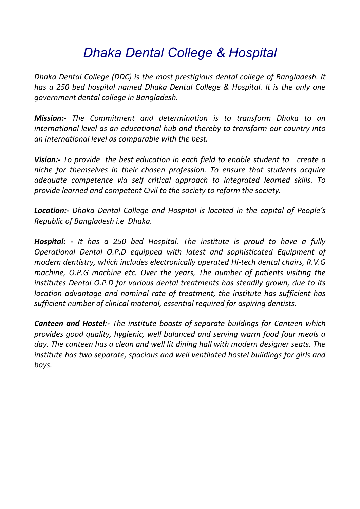### Dhaka Dental College & Hospital

*Dhaka Dental College (DDC) is the most prestigious dental college of Bangladesh. It has a 250 bed hospital named Dhaka Dental College & Hospital. It is the only one government dental college in Bangladesh.*

*Mission:- The Commitment and determination is to transform Dhaka to an international level as an educational hub and thereby to transform our country into an international level as comparable with the best.*

*Vision:- To provide the best education in each field to enable student to create a niche for themselves in their chosen profession. To ensure that students acquire adequate competence via self critical approach to integrated learned skills. To provide learned and competent Civil to the society to reform the society.*

*Location:- Dhaka Dental College and Hospital is located in the capital of People's Republic of Bangladesh i.e Dhaka.*

*Hospital: - It has a 250 bed Hospital. The institute is proud to have a fully Operational Dental O.P.D equipped with latest and sophisticated Equipment of modern dentistry, which includes electronically operated Hi-tech dental chairs, R.V.G machine, O.P.G machine etc. Over the years, The number of patients visiting the institutes Dental O.P.D for various dental treatments has steadily grown, due to its location advantage and nominal rate of treatment, the institute has sufficient has sufficient number of clinical material, essential required for aspiring dentists.*

*Canteen and Hostel:- The institute boasts of separate buildings for Canteen which provides good quality, hygienic, well balanced and serving warm food four meals a day. The canteen has a clean and well lit dining hall with modern designer seats. The institute has two separate, spacious and well ventilated hostel buildings for girls and boys.*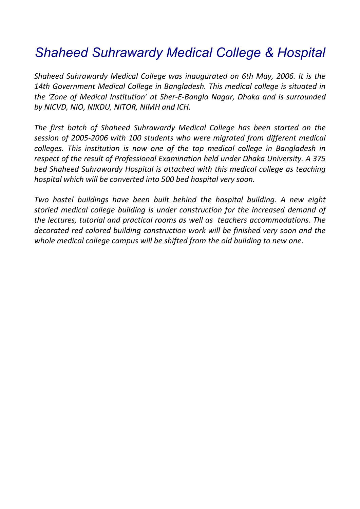### Shaheed Suhrawardy Medical College & Hospital

*Shaheed Suhrawardy Medical College was inaugurated on 6th May, 2006. It is the 14th Government Medical College in Bangladesh. This medical college is situated in the 'Zone of Medical Institution' at Sher-E-Bangla Nagar, Dhaka and is surrounded by NICVD, NIO, NIKDU, NITOR, NIMH and ICH.*

*The first batch of Shaheed Suhrawardy Medical College has been started on the session of 2005-2006 with 100 students who were migrated from different medical colleges. This institution is now one of the top medical college in Bangladesh in respect of the result of Professional Examination held under Dhaka University. A 375 bed Shaheed Suhrawardy Hospital is attached with this medical college as teaching hospital which will be converted into 500 bed hospital very soon.*

*Two hostel buildings have been built behind the hospital building. A new eight storied medical college building is under construction for the increased demand of the lectures, tutorial and practical rooms as well as teachers accommodations. The decorated red colored building construction work will be finished very soon and the whole medical college campus will be shifted from the old building to new one.*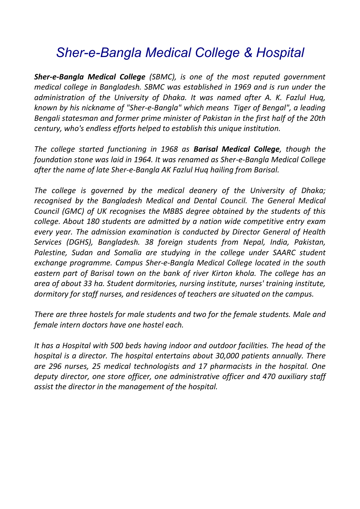### Sher-e-Bangla Medical College & Hospital

*Sher-e-Bangla Medical College (SBMC), is one of the most reputed government medical college in Bangladesh. SBMC was established in 1969 and is run under the administration of the University of Dhaka. It was named after A. K. Fazlul Huq, known by his nickname of "Sher-e-Bangla" which means Tiger of Bengal", a leading Bengali statesman and former prime minister of Pakistan in the first half of the 20th century, who's endless efforts helped to establish this unique institution.*

*The college started functioning in 1968 as Barisal Medical College, though the foundation stone was laid in 1964. It was renamed as Sher-e-Bangla Medical College after the name of late Sher-e-Bangla AK Fazlul Huq hailing from Barisal.*

*The college is governed by the medical deanery of the University of Dhaka; recognised by the Bangladesh Medical and Dental Council. The General Medical Council (GMC) of UK recognises the MBBS degree obtained by the students of this college. About 180 students are admitted by a nation wide competitive entry exam every year. The admission examination is conducted by Director General of Health Services (DGHS), Bangladesh. 38 foreign students from Nepal, India, Pakistan, Palestine, Sudan and Somalia are studying in the college under SAARC student exchange programme. Campus Sher-e-Bangla Medical College located in the south eastern part of Barisal town on the bank of river Kirton khola. The college has an area of about 33 ha. Student dormitories, nursing institute, nurses' training institute, dormitory for staff nurses, and residences of teachers are situated on the campus.*

*There are three hostels for male students and two for the female students. Male and female intern doctors have one hostel each.*

*It has a Hospital with 500 beds having indoor and outdoor facilities. The head of the hospital is a director. The hospital entertains about 30,000 patients annually. There are 296 nurses, 25 medical technologists and 17 pharmacists in the hospital. One deputy director, one store officer, one administrative officer and 470 auxiliary staff assist the director in the management of the hospital.*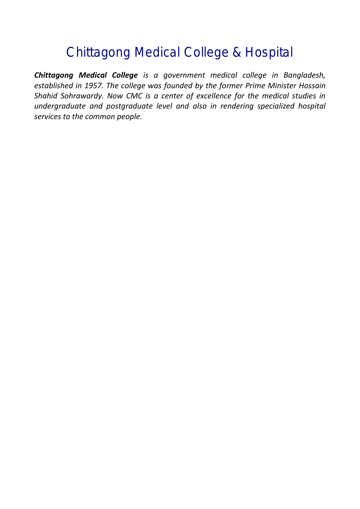### *Chittagong Medical College & Hospital*

*Chittagong Medical College is a government medical college in Bangladesh, established in 1957. The college was founded by the former Prime Minister Hossain Shahid Sohrawardy. Now CMC is a center of excellence for the medical studies in undergraduate and postgraduate level and also in rendering specialized hospital services to the common people.*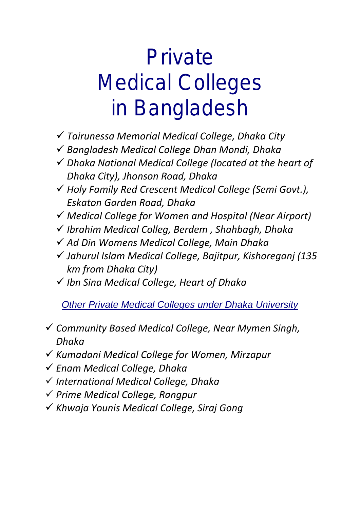# *Private Medical Colleges in Bangladesh*

- *Tairunessa Memorial Medical College, Dhaka City*
- *Bangladesh Medical College Dhan Mondi, Dhaka*
- *Dhaka National Medical College (located at the heart of Dhaka City), Jhonson Road, Dhaka*
- *Holy Family Red Crescent Medical College (Semi Govt.), Eskaton Garden Road, Dhaka*
- *Medical College for Women and Hospital (Near Airport)*
- *Ibrahim Medical Colleg, Berdem , Shahbagh, Dhaka*
- *Ad Din Womens Medical College, Main Dhaka*
- *Jahurul Islam Medical College, Bajitpur, Kishoreganj (135 km from Dhaka City)*
- *Ibn Sina Medical College, Heart of Dhaka*

*Other Private Medical Colleges under Dhaka University*

- *Community Based Medical College, Near Mymen Singh, Dhaka*
- *Kumadani Medical College for Women, Mirzapur*
- *Enam Medical College, Dhaka*
- *International Medical College, Dhaka*
- *Prime Medical College, Rangpur*
- *Khwaja Younis Medical College, Siraj Gong*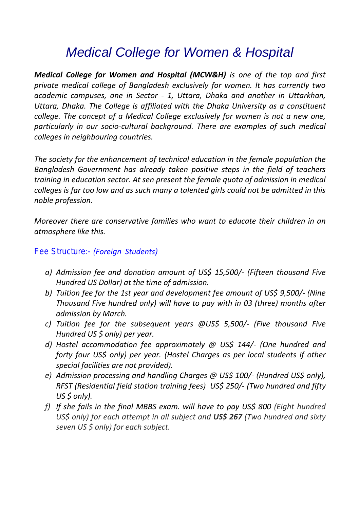### *Medical College for Women & Hospital*

*Medical College for Women and Hospital (MCW&H) is one of the top and first private medical college of Bangladesh exclusively for women. It has currently two academic campuses, one in Sector - 1, Uttara, Dhaka and another in Uttarkhan, Uttara, Dhaka. The College is affiliated with the Dhaka University as a constituent college. The concept of a Medical College exclusively for women is not a new one, particularly in our socio-cultural background. There are examples of such medical colleges in neighbouring countries.*

*The society for the enhancement of technical education in the female population the Bangladesh Government has already taken positive steps in the field of teachers training in education sector. At sen present the female quota of admission in medical colleges is far too low and as such many a talented girls could not be admitted in this noble profession.*

*Moreover there are conservative families who want to educate their children in an atmosphere like this.*

#### *Fee Structure:- (Foreign Students)*

- *a) Admission fee and donation amount of US\$ 15,500/- (Fifteen thousand Five Hundred US Dollar) at the time of admission.*
- *b) Tuition fee for the 1st year and development fee amount of US\$ 9,500/- (Nine Thousand Five hundred only) will have to pay with in 03 (three) months after admission by March.*
- *c) Tuition fee for the subsequent years @US\$ 5,500/- (Five thousand Five Hundred US \$ only) per year.*
- *d) Hostel accommodation fee approximately @ US\$ 144/- (One hundred and forty four US\$ only) per year. (Hostel Charges as per local students if other special facilities are not provided).*
- *e) Admission processing and handling Charges @ US\$ 100/- (Hundred US\$ only), RFST (Residential field station training fees) US\$ 250/- (Two hundred and fifty US \$ only).*
- *f) If she fails in the final MBBS exam. will have to pay US\$ 800 (Eight hundred US\$ only) for each attempt in all subject and US\$ 267 (Two hundred and sixty seven US \$ only) for each subject.*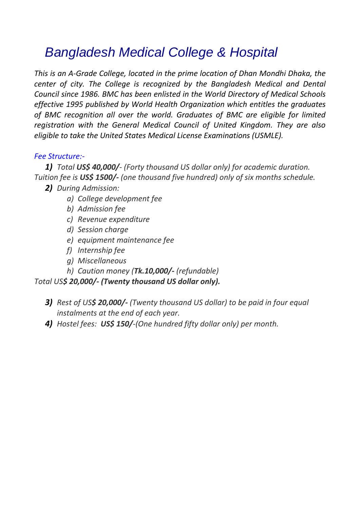### *Bangladesh Medical College & Hospital*

*This is an A-Grade College, located in the prime location of Dhan Mondhi Dhaka, the center of city. The College is recognized by the Bangladesh Medical and Dental Council since 1986. BMC has been enlisted in the World Directory of Medical Schools effective 1995 published by World Health Organization which entitles the graduates of BMC recognition all over the world. Graduates of BMC are eligible for limited registration with the General Medical Council of United Kingdom. They are also eligible to take the United States Medical License Examinations (USMLE).*

#### *Fee Structure:-*

*1) Total US\$ 40,000/- (Forty thousand US dollar only) for academic duration. Tuition fee is US\$ 1500/- (one thousand five hundred) only of six months schedule.*

*2) During Admission:*

- *a) College development fee*
- *b) Admission fee*
- *c) Revenue expenditure*
- *d) Session charge*
- *e) equipment maintenance fee*
- *f) Internship fee*
- *g) Miscellaneous*
- *h) Caution money (Tk.10,000/- (refundable)*

#### *Total US\$ 20,000/- (Twenty thousand US dollar only).*

- *3) Rest of US\$ 20,000/- (Twenty thousand US dollar) to be paid in four equal instalments at the end of each year.*
- *4) Hostel fees: US\$ 150/-(One hundred fifty dollar only) per month.*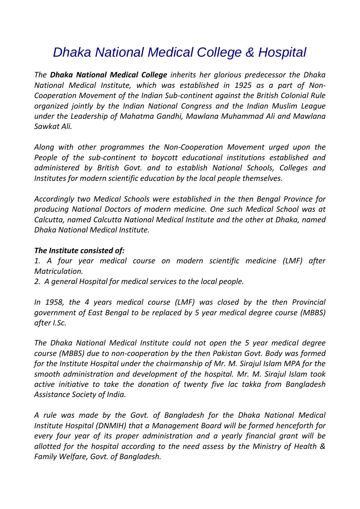### *Dhaka National Medical College & Hospital*

*The Dhaka National Medical College inherits her glorious predecessor the Dhaka National Medical Institute, which was established in 1925 as a part of Non- Cooperation Movement of the Indian Sub-continent against the British Colonial Rule organized jointly by the Indian National Congress and the Indian Muslim League under the Leadership of Mahatma Gandhi, Mawlana Muhammad Ali and Mawlana Sawkat Ali.*

*Along with other programmes the Non-Cooperation Movement urged upon the People of the sub-continent to boycott educational institutions established and administered by British Govt. and to establish National Schools, Colleges and Institutes for modern scientific education by the local people themselves.*

*Accordingly two Medical Schools were established in the then Bengal Province for producing National Doctors of modern medicine. One such Medical School was at Calcutta, named Calcutta National Medical Institute and the other at Dhaka, named Dhaka National Medical Institute.*

#### *The Institute consisted of:*

*1. A four year medical course on modern scientific medicine (LMF) after Matriculation.*

*2. A general Hospital for medical services to the local people.*

*In 1958, the 4 years medical course (LMF) was closed by the then Provincial government of East Bengal to be replaced by 5 year medical degree course (MBBS) after I.Sc.*

*The Dhaka National Medical Institute could not open the 5 year medical degree course (MBBS) due to non-cooperation by the then Pakistan Govt. Body was formed for the Institute Hospital under the chairmanship of Mr. M. Sirajul Islam MPA for the smooth administration and development of the hospital. Mr. M. Sirajul Islam took active initiative to take the donation of twenty five lac takka from Bangladesh Assistance Society of India.*

*A rule was made by the Govt. of Bangladesh for the Dhaka National Medical Institute Hospital (DNMIH) that a Management Board will be formed henceforth for every four year of its proper administration and a yearly financial grant will be allotted for the hospital according to the need assess by the Ministry of Health & Family Welfare, Govt. of Bangladesh.*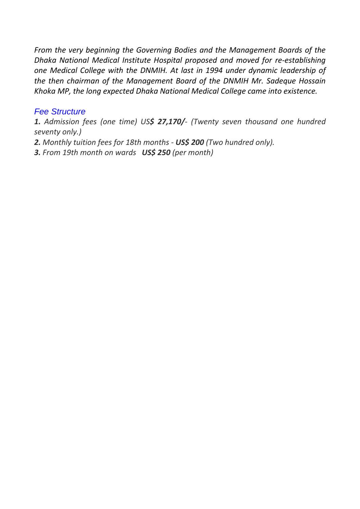*From the very beginning the Governing Bodies and the Management Boards of the Dhaka National Medical Institute Hospital proposed and moved for re-establishing one Medical College with the DNMIH. At last in 1994 under dynamic leadership of the then chairman of the Management Board of the DNMIH Mr. Sadeque Hossain Khoka MP, the long expected Dhaka National Medical College came into existence.*

### *Fee Structure*

*1. Admission fees (one time) US\$ 27,170/- (Twenty seven thousand one hundred seventy only.)*

*2. Monthly tuition fees for 18th months - US\$ 200 (Two hundred only).*

*3. From 19th month on wards US\$ 250 (per month)*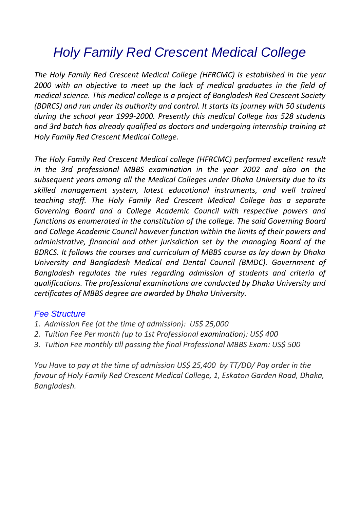### *Holy Family Red Crescent Medical College*

*The Holy Family Red Crescent Medical College (HFRCMC) is established in the year 2000 with an objective to meet up the lack of medical graduates in the field of medical science. This medical college is a project of Bangladesh Red Crescent Society (BDRCS) and run under its authority and control. It starts its journey with 50 students during the school year 1999-2000. Presently this medical College has 528 students and 3rd batch has already qualified as doctors and undergoing internship training at Holy Family Red Crescent Medical College.*

*The Holy Family Red Crescent Medical college (HFRCMC) performed excellent result in the 3rd professional MBBS examination in the year 2002 and also on the subsequent years among all the Medical Colleges under Dhaka University due to its skilled management system, latest educational instruments, and well trained teaching staff. The Holy Family Red Crescent Medical College has a separate Governing Board and a College Academic Council with respective powers and functions as enumerated in the constitution of the college. The said Governing Board and College Academic Council however function within the limits of their powers and administrative, financial and other jurisdiction set by the managing Board of the BDRCS. It follows the courses and curriculum of MBBS course as lay down by Dhaka University and Bangladesh Medical and Dental Council (BMDC). Government of Bangladesh regulates the rules regarding admission of students and criteria of qualifications. The professional examinations are conducted by Dhaka University and certificates of MBBS degree are awarded by Dhaka University.*

#### *Fee Structure*

- *1. Admission Fee (at the time of admission): US\$ 25,000*
- *2. Tuition Fee Per month (up to 1st Professional examination): US\$ 400*
- *3. Tuition Fee monthly till passing the final Professional MBBS Exam: US\$ 500*

*You Have to pay at the time of admission US\$ 25,400 by TT/DD/ Pay order in the favour of Holy Family Red Crescent Medical College, 1, Eskaton Garden Road, Dhaka, Bangladesh.*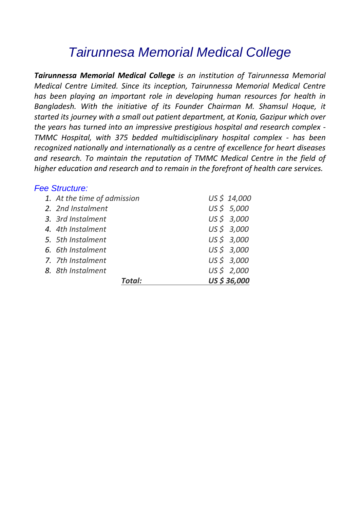### *Tairunnesa Memorial Medical College*

*Tairunnessa Memorial Medical College is an institution of Tairunnessa Memorial Medical Centre Limited. Since its inception, Tairunnessa Memorial Medical Centre has been playing an important role in developing human resources for health in Bangladesh. With the initiative of its Founder Chairman M. Shamsul Hoque, it started its journey with a small out patient department, at Konia, Gazipur which over the years has turned into an impressive prestigious hospital and research complex - TMMC Hospital, with 375 bedded multidisciplinary hospital complex - has been recognized nationally and internationally as a centre of excellence for heart diseases and research. To maintain the reputation of TMMC Medical Centre in the field of higher education and research and to remain in the forefront of health care services.*

#### *Fee Structure:*

| 1. At the time of admission | US \$ 14,000 |
|-----------------------------|--------------|
| 2. 2nd Instalment           | US\$ 5,000   |
| 3. 3rd Instalment           | US \$ 3,000  |
| 4. 4th Instalment           | US \$ 3,000  |
| 5. 5th Instalment           | US \$ 3,000  |
| 6. 6th Instalment           | US \$ 3,000  |
| 7. 7th Instalment           | US \$ 3,000  |
| 8. 8th Instalment           | US\$ 2,000   |
|                             | US \$36,000  |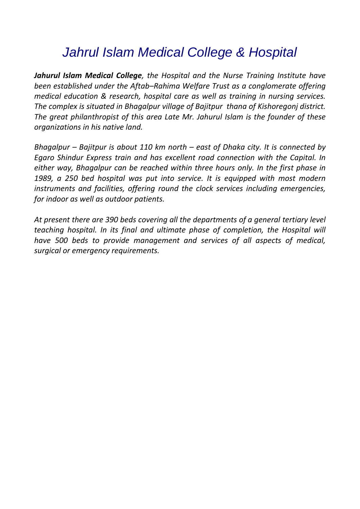### *Jahrul Islam Medical College & Hospital*

*Jahurul Islam Medical College, the Hospital and the Nurse Training Institute have been established under the Aftab–Rahima Welfare Trust as a conglomerate offering medical education & research, hospital care as well as training in nursing services. The complex is situated in Bhagalpur village of Bajitpur thana of Kishoregonj district. The great philanthropist of this area Late Mr. Jahurul Islam is the founder of these organizations in his native land.*

*Bhagalpur – Bajitpur is about 110 km north – east of Dhaka city. It is connected by Egaro Shindur Express train and has excellent road connection with the Capital. In either way, Bhagalpur can be reached within three hours only. In the first phase in 1989, a 250 bed hospital was put into service. It is equipped with most modern instruments and facilities, offering round the clock services including emergencies, for indoor as well as outdoor patients.*

*At present there are 390 beds covering all the departments of a general tertiary level teaching hospital. In its final and ultimate phase of completion, the Hospital will have 500 beds to provide management and services of all aspects of medical, surgical or emergency requirements.*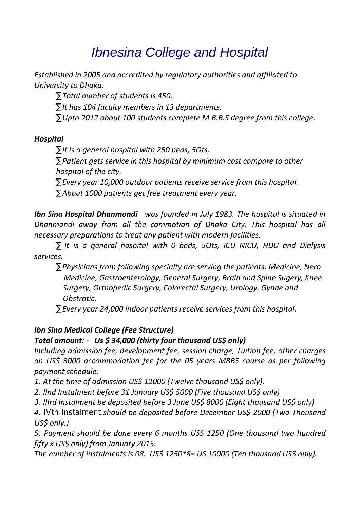### *Ibnesina College and Hospital*

*Established in 2005 and accredited by regulatory authorities and affiliated to University to Dhaka.*

*Total number of students is 450.*

*It has 104 faculty members in 13 departments.*

*Upto 2012 about 100 students complete M.B.B.S degree from this college.*

### *Hospital*

*It is a general hospital with 250 beds, 5Ots.*

 *Patient gets service in this hospital by minimum cost compare to other hospital of the city.*

 *Every year 10,000 outdoor patients receive service from this hospital. About 1000 patients get free treatment every year.*

*Ibn Sina Hospital Dhanmondi was founded in July 1983. The hospital is situated in Dhanmondi away from all the commotion of Dhaka City. This hospital has all necessary preparations to treat any patient with modern facilities.*

 *It is a general hospital with 0 beds, 5Ots, ICU NICU, HDU and Dialysis services.*

 *Physicians from following specialty are serving the patients: Medicine, Nero Medicine, Gastroenterology, General Surgery, Brain and Spine Sugery, Knee Surgery, Orthopedic Surgery, Colorectal Surgery, Urology, Gynae and Obstratic.*

*Every year 24,000 indoor patients receive services from this hospital.*

### *Ibn Sina Medical College (Fee Structure)*

### *Total amount: - Us \$ 34,000 (thirty four thousand US\$ only)*

*Including admission fee, development fee, session charge, Tuition fee, other charges an US\$ 3000 accommodation fee for the 05 years MBBS course as per following payment schedule:*

*1. At the time of admission US\$ 12000 (Twelve thousand US\$ only).*

*2. IInd Instalment before 31 January US\$ 5000 (Five thousand US\$ only)*

*3. IIIrd Instalment be deposited before 3 June US\$ 8000 (Eight thousand US\$ only)*

*4. IVth Instalment should be deposited before December US\$ 2000 (Two Thousand US\$ only.)*

*5. Payment should be done every 6 months US\$ 1250 (One thousand two hundred fifty x US\$ only) from January 2015.*

*The number of instalments is 08. US\$ 1250\*8= US 10000 (Ten thousand US\$ only).*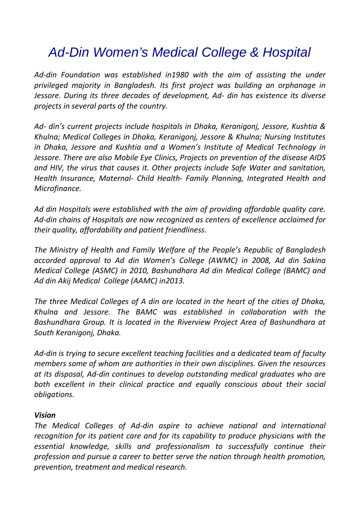### *Ad-Din Women's Medical College & Hospital*

*Ad-din Foundation was established in1980 with the aim of assisting the under privileged majority in Bangladesh. Its first project was building an orphanage in Jessore. During its three decades of development, Ad- din has existence its diverse projects in several parts of the country.*

*Ad- din's current projects include hospitals in Dhaka, Keranigonj, Jessore, Kushtia & Khulna; Medical Colleges in Dhaka, Keranigonj, Jessore & Khulna; Nursing Institutes in Dhaka, Jessore and Kushtia and a Women's Institute of Medical Technology in Jessore. There are also Mobile Eye Clinics, Projects on prevention of the disease AIDS and HIV, the virus that causes it. Other projects include Safe Water and sanitation, Health Insurance, Maternal- Child Health- Family Planning, Integrated Health and Microfinance.*

*Ad din Hospitals were established with the aim of providing affordable quality care. Ad-din chains of Hospitals are now recognized as centers of excellence acclaimed for their quality, affordability and patient friendliness.*

*The Ministry of Health and Family Welfare of the People's Republic of Bangladesh accorded approval to Ad din Women's College (AWMC) in 2008, Ad din Sakina Medical College (ASMC) in 2010, Bashundhara Ad din Medical College (BAMC) and Ad din Akij Medical College (AAMC) in2013.*

*The three Medical Colleges of A din are located in the heart of the cities of Dhaka, Khulna and Jessore. The BAMC was established in collaboration with the Bashundhara Group. It is located in the Riverview Project Area of Bashundhara at South Keranigonj, Dhaka.*

*Ad-din is trying to secure excellent teaching facilities and a dedicated team of faculty members some of whom are authorities in their own disciplines. Given the resources at its disposal, Ad-din continues to develop outstanding medical graduates who are both excellent in their clinical practice and equally conscious about their social obligations.*

#### *Vision*

*The Medical Colleges of Ad-din aspire to achieve national and international recognition for its patient care and for its capability to produce physicians with the essential knowledge, skills and professionalism to successfully continue their profession and pursue a career to better serve the nation through health promotion, prevention, treatment and medical research.*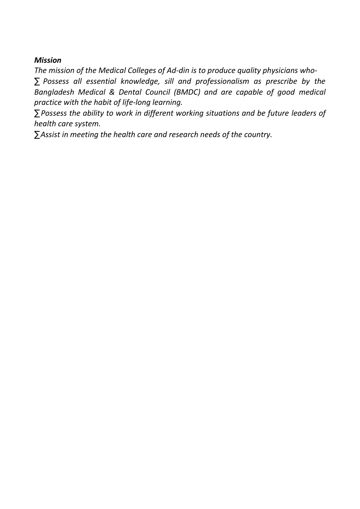#### *Mission*

*The mission of the Medical Colleges of Ad-din is to produce quality physicians who- Possess all essential knowledge, sill and professionalism as prescribe by the Bangladesh Medical & Dental Council (BMDC) and are capable of good medical practice with the habit of life-long learning.*

 *Possess the ability to work in different working situations and be future leaders of health care system.*

*Assist in meeting the health care and research needs of the country.*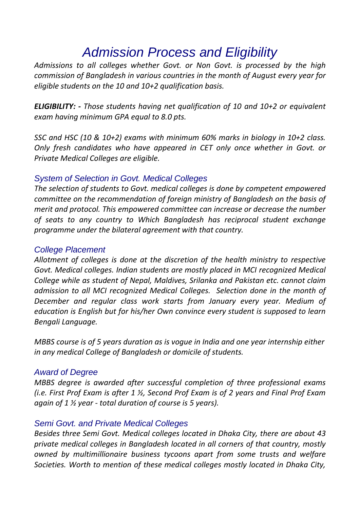### *Admission Process and Eligibility*

*Admissions to all colleges whether Govt. or Non Govt. is processed by the high commission of Bangladesh in various countries in the month of August every year for eligible students on the 10 and 10+2 qualification basis.*

*ELIGIBILITY: - Those students having net qualification of 10 and 10+2 or equivalent exam having minimum GPA equal to 8.0 pts.*

*SSC and HSC (10 & 10+2) exams with minimum 60% marks in biology in 10+2 class. Only fresh candidates who have appeared in CET only once whether in Govt. or Private Medical Colleges are eligible.*

### *System of Selection in Govt. Medical Colleges*

*The selection of students to Govt. medical colleges is done by competent empowered committee on the recommendation of foreign ministry of Bangladesh on the basis of merit and protocol. This empowered committee can increase or decrease the number of seats to any country to Which Bangladesh has reciprocal student exchange programme under the bilateral agreement with that country.*

### *College Placement*

*Allotment of colleges is done at the discretion of the health ministry to respective Govt. Medical colleges. Indian students are mostly placed in MCI recognized Medical College while as student of Nepal, Maldives, Srilanka and Pakistan etc. cannot claim admission to all MCI recognized Medical Colleges. Selection done in the month of December and regular class work starts from January every year. Medium of education is English but for his/her Own convince every student is supposed to learn Bengali Language.*

*MBBS course is of 5 years duration as is vogue in India and one year internship either in any medical College of Bangladesh or domicile of students.*

### *Award of Degree*

*MBBS degree is awarded after successful completion of three professional exams (i.e. First Prof Exam is after 1 ½, Second Prof Exam is of 2 years and Final Prof Exam again of 1 ½ year - total duration of course is 5 years).*

### *Semi Govt. and Private Medical Colleges*

*Besides three Semi Govt. Medical colleges located in Dhaka City, there are about 43 private medical colleges in Bangladesh located in all corners of that country, mostly owned by multimillionaire business tycoons apart from some trusts and welfare Societies. Worth to mention of these medical colleges mostly located in Dhaka City,*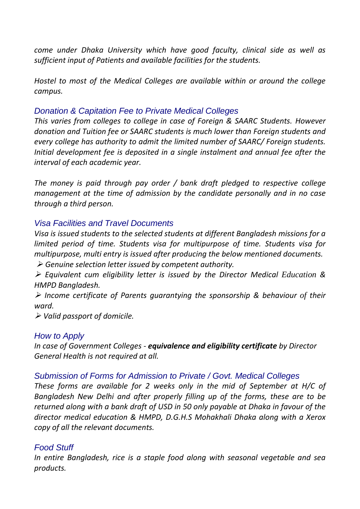*come under Dhaka University which have good faculty, clinical side as well as sufficient input of Patients and available facilities for the students.*

*Hostel to most of the Medical Colleges are available within or around the college campus.*

### *Donation & Capitation Fee to Private Medical Colleges*

*This varies from colleges to college in case of Foreign & SAARC Students. However donation and Tuition fee or SAARC students is much lower than Foreign students and every college has authority to admit the limited number of SAARC/ Foreign students. Initial development fee is deposited in a single instalment and annual fee after the interval of each academic year.*

*The money is paid through pay order / bank draft pledged to respective college management at the time of admission by the candidate personally and in no case through a third person.*

#### *Visa Facilities and Travel Documents*

*Visa is issued students to the selected students at different Bangladesh missions for a limited period of time. Students visa for multipurpose of time. Students visa for multipurpose, multi entry is issued after producing the below mentioned documents.*

*Genuine selection letter issued by competent authority.*

 *Equivalent cum eligibility letter is issued by the Director Medical Education & HMPD Bangladesh.*

 *Income certificate of Parents guarantying the sponsorship & behaviour of their ward.*

*Valid passport of domicile.*

### *How to Apply*

*In case of Government Colleges - equivalence and eligibility certificate by Director General Health is not required at all.*

### *Submission of Forms for Admission to Private / Govt. Medical Colleges*

*These forms are available for 2 weeks only in the mid of September at H/C of Bangladesh New Delhi and after properly filling up of the forms, these are to be returned along with a bank draft of USD in 50 only payable at Dhaka in favour of the director medical education & HMPD, D.G.H.S Mohakhali Dhaka along with a Xerox copy of all the relevant documents.*

### *Food Stuff*

*In entire Bangladesh, rice is a staple food along with seasonal vegetable and sea products.*